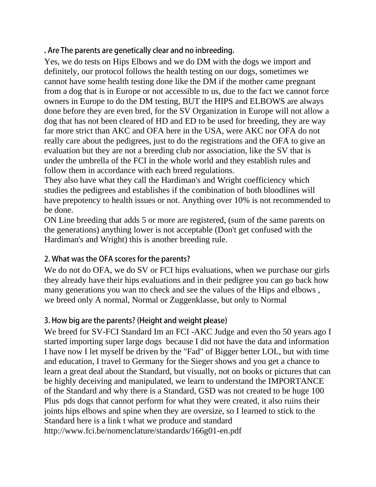. Are The parents are genetically clear and no inbreeding.

Yes, we do tests on Hips Elbows and we do DM with the dogs we import and definitely, our protocol follows the health testing on our dogs, sometimes we cannot have some health testing done like the DM if the mother came pregnant from a dog that is in Europe or not accessible to us, due to the fact we cannot force owners in Europe to do the DM testing, BUT the HIPS and ELBOWS are always done before they are even bred, for the SV Organization in Europe will not allow a dog that has not been cleared of HD and ED to be used for breeding, they are way far more strict than AKC and OFA here in the USA, were AKC nor OFA do not really care about the pedigrees, just to do the registrations and the OFA to give an evaluation but they are not a breeding club nor association, like the SV that is under the umbrella of the FCI in the whole world and they establish rules and follow them in accordance with each breed regulations.

They also have what they call the Hardiman's and Wright coefficiency which studies the pedigrees and establishes if the combination of both bloodlines will have prepotency to health issues or not. Anything over 10% is not recommended to be done.

ON Line breeding that adds 5 or more are registered, (sum of the same parents on the generations) anything lower is not acceptable (Don't get confused with the Hardiman's and Wright) this is another breeding rule.

## 2. What was the OFA scores for the parents?

We do not do OFA, we do SV or FCI hips evaluations, when we purchase our girls they already have their hips evaluations and in their pedigree you can go back how many generations you wan tto check and see the values of the Hips and elbows , we breed only A normal, Normal or Zuggenklasse, but only to Normal

## 3. How big are the parents? (Height and weight please)

We breed for SV-FCI Standard Im an FCI -AKC Judge and even tho 50 years ago I started importing super large dogs because I did not have the data and information I have now I let myself be driven by the "Fad" of Bigger better LOL, but with time and education, I travel to Germany for the Sieger shows and you get a chance to learn a great deal about the Standard, but visually, not on books or pictures that can be highly deceiving and manipulated, we learn to understand the IMPORTANCE of the Standard and why there is a Standard, GSD was not created to be huge 100 Plus pds dogs that cannot perform for what they were created, it also ruins their joints hips elbows and spine when they are oversize, so I learned to stick to the Standard here is a link t what we produce and standard http://www.fci.be/nomenclature/standards/166g01-en.pdf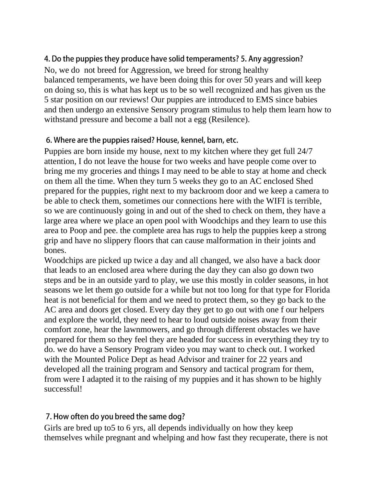## 4. Do the puppies they produce have solid temperaments? 5. Any aggression?

No, we do not breed for Aggression, we breed for strong healthy balanced temperaments, we have been doing this for over 50 years and will keep on doing so, this is what has kept us to be so well recognized and has given us the 5 star position on our reviews! Our puppies are introduced to EMS since babies and then undergo an extensive Sensory program stimulus to help them learn how to withstand pressure and become a ball not a egg (Resilence).

#### 6. Where are the puppies raised? House, kennel, barn, etc.

Puppies are born inside my house, next to my kitchen where they get full 24/7 attention, I do not leave the house for two weeks and have people come over to bring me my groceries and things I may need to be able to stay at home and check on them all the time. When they turn 5 weeks they go to an AC enclosed Shed prepared for the puppies, right next to my backroom door and we keep a camera to be able to check them, sometimes our connections here with the WIFI is terrible, so we are continuously going in and out of the shed to check on them, they have a large area where we place an open pool with Woodchips and they learn to use this area to Poop and pee. the complete area has rugs to help the puppies keep a strong grip and have no slippery floors that can cause malformation in their joints and bones.

Woodchips are picked up twice a day and all changed, we also have a back door that leads to an enclosed area where during the day they can also go down two steps and be in an outside yard to play, we use this mostly in colder seasons, in hot seasons we let them go outside for a while but not too long for that type for Florida heat is not beneficial for them and we need to protect them, so they go back to the AC area and doors get closed. Every day they get to go out with one f our helpers and explore the world, they need to hear to loud outside noises away from their comfort zone, hear the lawnmowers, and go through different obstacles we have prepared for them so they feel they are headed for success in everything they try to do. we do have a Sensory Program video you may want to check out. I worked with the Mounted Police Dept as head Advisor and trainer for 22 years and developed all the training program and Sensory and tactical program for them, from were I adapted it to the raising of my puppies and it has shown to be highly successful!

#### 7. How often do you breed the same dog?

Girls are bred up to 5 to 6 yrs, all depends individually on how they keep themselves while pregnant and whelping and how fast they recuperate, there is not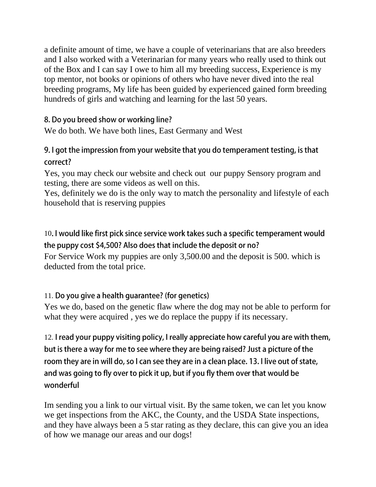a definite amount of time, we have a couple of veterinarians that are also breeders and I also worked with a Veterinarian for many years who really used to think out of the Box and I can say I owe to him all my breeding success, Experience is my top mentor, not books or opinions of others who have never dived into the real breeding programs, My life has been guided by experienced gained form breeding hundreds of girls and watching and learning for the last 50 years.

## 8. Do you breed show or working line?

We do both. We have both lines, East Germany and West

## 9. I got the impression from your website that you do temperament testing, is that correct?

Yes, you may check our website and check out our puppy Sensory program and testing, there are some videos as well on this.

Yes, definitely we do is the only way to match the personality and lifestyle of each household that is reserving puppies

10. I would like first pick since service work takes such a specific temperament would the puppy cost \$4,500? Also does that include the deposit or no? For Service Work my puppies are only 3,500.00 and the deposit is 500. which is deducted from the total price.

# 11. Do you give a health guarantee? (for genetics)

Yes we do, based on the genetic flaw where the dog may not be able to perform for what they were acquired , yes we do replace the puppy if its necessary.

12. I read your puppy visiting policy, I really appreciate how careful you are with them, but is there a way for me to see where they are being raised? Just a picture of the room they are in will do, so I can see they are in a clean place. 13. I live out of state, and was going to fly over to pick it up, but if you fly them over that would be wonderful

Im sending you a link to our virtual visit. By the same token, we can let you know we get inspections from the AKC, the County, and the USDA State inspections, and they have always been a 5 star rating as they declare, this can give you an idea of how we manage our areas and our dogs!